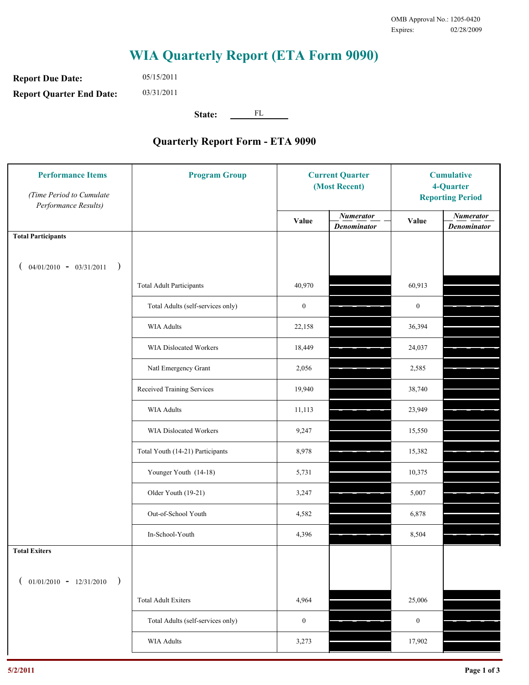## **WIA Quarterly Report (ETA Form 9090)**

**Report Due Date: Report Quarter End Date:** 05/15/2011 03/31/2011

**State:** FL

## **Quarterly Report Form - ETA 9090**

| <b>Performance Items</b><br>(Time Period to Cumulate<br>Performance Results) | <b>Program Group</b>              | <b>Current Quarter</b><br>(Most Recent) |                                        | <b>Cumulative</b><br>4-Quarter<br><b>Reporting Period</b> |                                        |
|------------------------------------------------------------------------------|-----------------------------------|-----------------------------------------|----------------------------------------|-----------------------------------------------------------|----------------------------------------|
|                                                                              |                                   | Value                                   | <b>Numerator</b><br><b>Denominator</b> | Value                                                     | <b>Numerator</b><br><b>Denominator</b> |
| <b>Total Participants</b>                                                    |                                   |                                         |                                        |                                                           |                                        |
| $04/01/2010 - 03/31/2011$<br>$\rightarrow$                                   |                                   |                                         |                                        |                                                           |                                        |
|                                                                              | <b>Total Adult Participants</b>   | 40,970                                  |                                        | 60,913                                                    |                                        |
|                                                                              | Total Adults (self-services only) | $\boldsymbol{0}$                        |                                        | $\boldsymbol{0}$                                          |                                        |
|                                                                              | <b>WIA Adults</b>                 | 22,158                                  |                                        | 36,394                                                    |                                        |
|                                                                              | WIA Dislocated Workers            | 18,449                                  |                                        | 24,037                                                    |                                        |
|                                                                              | Natl Emergency Grant              | 2,056                                   |                                        | 2,585                                                     |                                        |
|                                                                              | Received Training Services        | 19,940                                  |                                        | 38,740                                                    |                                        |
|                                                                              | <b>WIA Adults</b>                 | 11,113                                  |                                        | 23,949                                                    |                                        |
|                                                                              | WIA Dislocated Workers            | 9,247                                   |                                        | 15,550                                                    |                                        |
|                                                                              | Total Youth (14-21) Participants  | 8,978                                   |                                        | 15,382                                                    |                                        |
|                                                                              | Younger Youth (14-18)             | 5,731                                   |                                        | 10,375                                                    |                                        |
|                                                                              | Older Youth (19-21)               | 3,247                                   |                                        | 5,007                                                     |                                        |
|                                                                              | Out-of-School Youth               | 4,582                                   |                                        | 6,878                                                     |                                        |
|                                                                              | In-School-Youth                   | 4,396                                   |                                        | 8,504                                                     |                                        |
| <b>Total Exiters</b>                                                         |                                   |                                         |                                        |                                                           |                                        |
| $01/01/2010 - 12/31/2010$<br>$\rightarrow$                                   |                                   |                                         |                                        |                                                           |                                        |
|                                                                              | <b>Total Adult Exiters</b>        | 4,964                                   |                                        | 25,006                                                    |                                        |
|                                                                              | Total Adults (self-services only) | $\boldsymbol{0}$                        |                                        | $\boldsymbol{0}$                                          |                                        |
|                                                                              | WIA Adults                        | 3,273                                   |                                        | 17,902                                                    |                                        |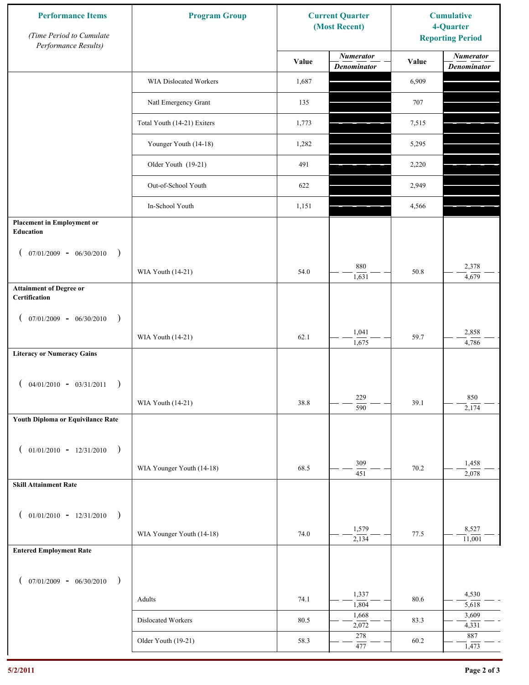| <b>Performance Items</b><br>(Time Period to Cumulate<br>Performance Results) | <b>Program Group</b>          | <b>Current Quarter</b><br>(Most Recent) |                                        | <b>Cumulative</b><br>4-Quarter<br><b>Reporting Period</b> |                                        |
|------------------------------------------------------------------------------|-------------------------------|-----------------------------------------|----------------------------------------|-----------------------------------------------------------|----------------------------------------|
|                                                                              |                               | Value                                   | <b>Numerator</b><br><b>Denominator</b> | Value                                                     | <b>Numerator</b><br><b>Denominator</b> |
|                                                                              | <b>WIA Dislocated Workers</b> | 1,687                                   |                                        | 6,909                                                     |                                        |
|                                                                              | Natl Emergency Grant          | 135                                     |                                        | 707                                                       |                                        |
|                                                                              | Total Youth (14-21) Exiters   | 1,773                                   |                                        | 7,515                                                     |                                        |
|                                                                              | Younger Youth (14-18)         | 1,282                                   |                                        | 5,295                                                     |                                        |
|                                                                              | Older Youth (19-21)           | 491                                     |                                        | 2,220                                                     |                                        |
|                                                                              | Out-of-School Youth           | 622                                     |                                        | 2,949                                                     |                                        |
|                                                                              | In-School Youth               | 1,151                                   |                                        | 4,566                                                     |                                        |
| <b>Placement in Employment or</b><br>Education                               |                               |                                         |                                        |                                                           |                                        |
| $07/01/2009 - 06/30/2010$<br>$\rightarrow$<br>€                              |                               |                                         |                                        |                                                           |                                        |
|                                                                              | WIA Youth (14-21)             | 54.0                                    | 880<br>1,631                           | 50.8                                                      | 2,378<br>4,679                         |
| <b>Attainment of Degree or</b><br>Certification                              |                               |                                         |                                        |                                                           |                                        |
| $(07/01/2009 - 06/30/2010)$<br>$\rightarrow$                                 |                               |                                         |                                        |                                                           |                                        |
|                                                                              | WIA Youth (14-21)             | 62.1                                    | 1,041<br>1,675                         | 59.7                                                      | 2,858<br>4,786                         |
| <b>Literacy or Numeracy Gains</b>                                            |                               |                                         |                                        |                                                           |                                        |
| $04/01/2010 - 03/31/2011$<br>$\rightarrow$                                   |                               |                                         |                                        |                                                           |                                        |
|                                                                              | WIA Youth (14-21)             | 38.8                                    | 229<br>$\overline{590}$                | 39.1                                                      | 850<br>2,174                           |
| Youth Diploma or Equivilance Rate                                            |                               |                                         |                                        |                                                           |                                        |
| $01/01/2010 - 12/31/2010$<br>$\rightarrow$                                   |                               |                                         |                                        |                                                           |                                        |
|                                                                              | WIA Younger Youth (14-18)     | 68.5                                    | 309<br>451                             | 70.2                                                      | 1,458<br>2,078                         |
| <b>Skill Attainment Rate</b>                                                 |                               |                                         |                                        |                                                           |                                        |
|                                                                              |                               |                                         |                                        |                                                           |                                        |
| $01/01/2010 - 12/31/2010$ )<br>$\mathcal{L}$                                 | WIA Younger Youth (14-18)     | 74.0                                    | 1,579                                  | 77.5                                                      | 8,527                                  |
| <b>Entered Employment Rate</b>                                               |                               |                                         | 2,134                                  |                                                           | 11,001                                 |
|                                                                              |                               |                                         |                                        |                                                           |                                        |
| $07/01/2009 - 06/30/2010$<br>$\rightarrow$                                   |                               |                                         | 1,337                                  |                                                           | 4,530                                  |
|                                                                              | Adults                        | 74.1                                    | 1,804<br>1,668                         | 80.6                                                      | 5,618<br>3,609                         |
|                                                                              | Dislocated Workers            | 80.5                                    | 2,072                                  | 83.3                                                      | 4,331                                  |
|                                                                              | Older Youth (19-21)           | 58.3                                    | 278<br>477                             | 60.2                                                      | 887<br>1,473                           |